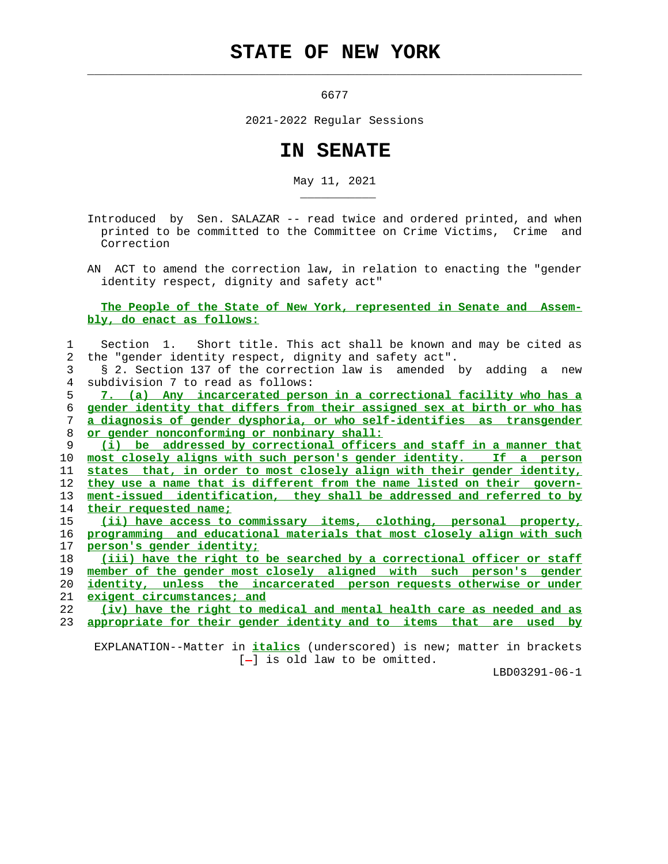## **STATE OF NEW YORK**

6677

 $\mathcal{L}_\text{max} = \frac{1}{2} \sum_{i=1}^{n} \frac{1}{2} \sum_{i=1}^{n} \frac{1}{2} \sum_{i=1}^{n} \frac{1}{2} \sum_{i=1}^{n} \frac{1}{2} \sum_{i=1}^{n} \frac{1}{2} \sum_{i=1}^{n} \frac{1}{2} \sum_{i=1}^{n} \frac{1}{2} \sum_{i=1}^{n} \frac{1}{2} \sum_{i=1}^{n} \frac{1}{2} \sum_{i=1}^{n} \frac{1}{2} \sum_{i=1}^{n} \frac{1}{2} \sum_{i=1}^{n} \frac{1$ 

\_\_\_\_\_\_\_\_\_\_\_

2021-2022 Regular Sessions

## **IN SENATE**

May 11, 2021

 Introduced by Sen. SALAZAR -- read twice and ordered printed, and when printed to be committed to the Committee on Crime Victims, Crime and Correction

 AN ACT to amend the correction law, in relation to enacting the "gender identity respect, dignity and safety act"

 **The People of the State of New York, represented in Senate and Assem bly, do enact as follows:**

|               | Section 1. Short title. This act shall be known and may be cited as      |
|---------------|--------------------------------------------------------------------------|
| $\mathcal{L}$ | the "gender identity respect, dignity and safety act".                   |
| 3             | § 2. Section 137 of the correction law is amended by adding a new        |
| 4             | subdivision 7 to read as follows:                                        |
| 5             | 7. (a) Any incarcerated person in a correctional facility who has a      |
| 6             | gender identity that differs from their assigned sex at birth or who has |
| 7             | a diagnosis of gender dysphoria, or who self-identifies as transgender   |
| 8             | or gender nonconforming or nonbinary shall:                              |
| 9             | (i) be addressed by correctional officers and staff in a manner that     |
| 10            | most closely aligns with such person's gender identity. If a person      |
| 11            | states that, in order to most closely align with their gender identity,  |
| 12            | they use a name that is different from the name listed on their govern-  |
| 13            | ment-issued identification, they shall be addressed and referred to by   |
| 14            | their requested name;                                                    |
| 15            | (ii) have access to commissary items, clothing, personal property,       |
| 16            | programming and educational materials that most closely align with such  |
| 17            | person's gender identity;                                                |
| 18            | (iii) have the right to be searched by a correctional officer or staff   |
| 19            | member of the gender most closely aligned with such person's gender      |
| 20            | identity, unless the incarcerated person requests otherwise or under     |
| 21            | exigent circumstances; and                                               |
| 22            | (iv) have the right to medical and mental health care as needed and as   |
| 23            | appropriate for their gender identity and to items that are used by      |
|               |                                                                          |

 EXPLANATION--Matter in **italics** (underscored) is new; matter in brackets  $[-]$  is old law to be omitted.

LBD03291-06-1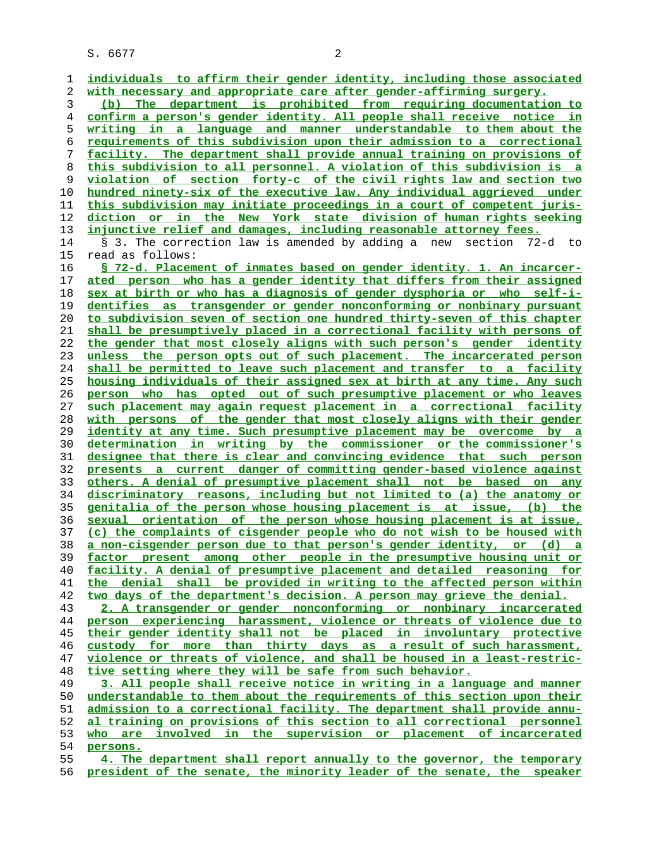S. 6677 2

**individuals to affirm their gender identity, including those associated with necessary and appropriate care after gender-affirming surgery. (b) The department is prohibited from requiring documentation to confirm a person's gender identity. All people shall receive notice in writing in a language and manner understandable to them about the requirements of this subdivision upon their admission to a correctional facility. The department shall provide annual training on provisions of this subdivision to all personnel. A violation of this subdivision is a violation of section forty-c of the civil rights law and section two hundred ninety-six of the executive law. Any individual aggrieved under this subdivision may initiate proceedings in a court of competent juris- diction or in the New York state division of human rights seeking injunctive relief and damages, including reasonable attorney fees.** 14 § 3. The correction law is amended by adding a new section 72-d to 15 read as follows: **§ 72-d. Placement of inmates based on gender identity. 1. An incarcer- ated person who has a gender identity that differs from their assigned sex at birth or who has a diagnosis of gender dysphoria or who self-i- dentifies as transgender or gender nonconforming or nonbinary pursuant to subdivision seven of section one hundred thirty-seven of this chapter shall be presumptively placed in a correctional facility with persons of the gender that most closely aligns with such person's gender identity unless the person opts out of such placement. The incarcerated person shall be permitted to leave such placement and transfer to a facility housing individuals of their assigned sex at birth at any time. Any such person who has opted out of such presumptive placement or who leaves such placement may again request placement in a correctional facility with persons of the gender that most closely aligns with their gender identity at any time. Such presumptive placement may be overcome by a determination in writing by the commissioner or the commissioner's designee that there is clear and convincing evidence that such person presents a current danger of committing gender-based violence against others. A denial of presumptive placement shall not be based on any discriminatory reasons, including but not limited to (a) the anatomy or genitalia of the person whose housing placement is at issue, (b) the sexual orientation of the person whose housing placement is at issue, (c) the complaints of cisgender people who do not wish to be housed with a non-cisgender person due to that person's gender identity, or (d) a factor present among other people in the presumptive housing unit or facility. A denial of presumptive placement and detailed reasoning for the denial shall be provided in writing to the affected person within two days of the department's decision. A person may grieve the denial. 2. A transgender or gender nonconforming or nonbinary incarcerated person experiencing harassment, violence or threats of violence due to their gender identity shall not be placed in involuntary protective custody for more than thirty days as a result of such harassment, violence or threats of violence, and shall be housed in a least-restric- tive setting where they will be safe from such behavior. 3. All people shall receive notice in writing in a language and manner understandable to them about the requirements of this section upon their admission to a correctional facility. The department shall provide annu- al training on provisions of this section to all correctional personnel who are involved in the supervision or placement of incarcerated persons. 4. The department shall report annually to the governor, the temporary president of the senate, the minority leader of the senate, the speaker**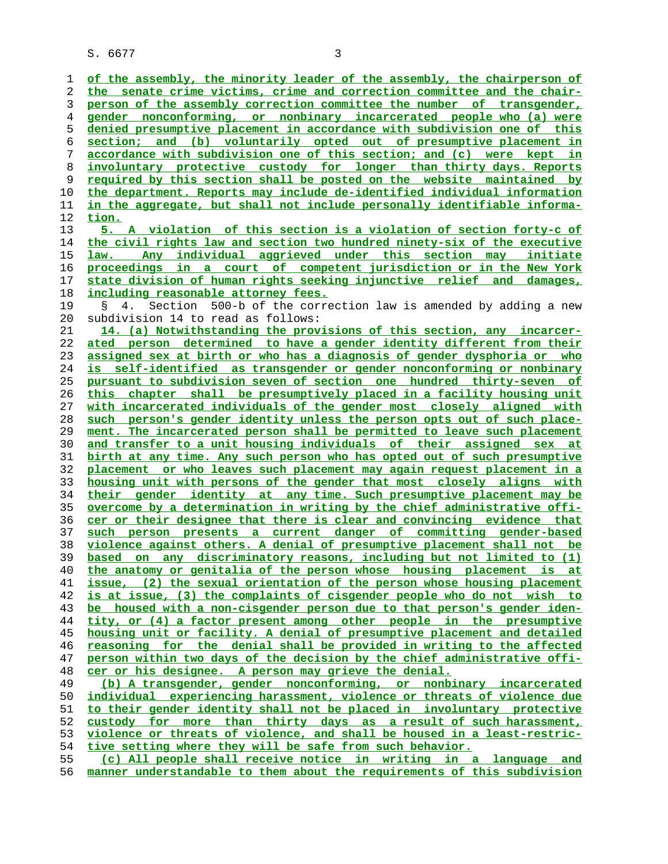S. 6677 3

**tion.**

**of the assembly, the minority leader of the assembly, the chairperson of the senate crime victims, crime and correction committee and the chair- person of the assembly correction committee the number of transgender, gender nonconforming, or nonbinary incarcerated people who (a) were denied presumptive placement in accordance with subdivision one of this section; and (b) voluntarily opted out of presumptive placement in accordance with subdivision one of this section; and (c) were kept in involuntary protective custody for longer than thirty days. Reports required by this section shall be posted on the website maintained by the department. Reports may include de-identified individual information in the aggregate, but shall not include personally identifiable informa- 5. A violation of this section is a violation of section forty-c of the civil rights law and section two hundred ninety-six of the executive law. Any individual aggrieved under this section may initiate proceedings in a court of competent jurisdiction or in the New York state division of human rights seeking injunctive relief and damages, including reasonable attorney fees.**

 19 § 4. Section 500-b of the correction law is amended by adding a new 20 subdivision 14 to read as follows:

**14. (a) Notwithstanding the provisions of this section, any incarcer- ated person determined to have a gender identity different from their assigned sex at birth or who has a diagnosis of gender dysphoria or who is self-identified as transgender or gender nonconforming or nonbinary pursuant to subdivision seven of section one hundred thirty-seven of this chapter shall be presumptively placed in a facility housing unit with incarcerated individuals of the gender most closely aligned with such person's gender identity unless the person opts out of such place- ment. The incarcerated person shall be permitted to leave such placement and transfer to a unit housing individuals of their assigned sex at birth at any time. Any such person who has opted out of such presumptive placement or who leaves such placement may again request placement in a housing unit with persons of the gender that most closely aligns with their gender identity at any time. Such presumptive placement may be overcome by a determination in writing by the chief administrative offi- cer or their designee that there is clear and convincing evidence that such person presents a current danger of committing gender-based violence against others. A denial of presumptive placement shall not be based on any discriminatory reasons, including but not limited to (1) the anatomy or genitalia of the person whose housing placement is at issue, (2) the sexual orientation of the person whose housing placement is at issue, (3) the complaints of cisgender people who do not wish to be housed with a non-cisgender person due to that person's gender iden- tity, or (4) a factor present among other people in the presumptive housing unit or facility. A denial of presumptive placement and detailed reasoning for the denial shall be provided in writing to the affected person within two days of the decision by the chief administrative offi- cer or his designee. A person may grieve the denial. (b) A transgender, gender nonconforming, or nonbinary incarcerated individual experiencing harassment, violence or threats of violence due to their gender identity shall not be placed in involuntary protective custody for more than thirty days as a result of such harassment,**

**violence or threats of violence, and shall be housed in a least-restric- tive setting where they will be safe from such behavior.**

**(c) All people shall receive notice in writing in a language and manner understandable to them about the requirements of this subdivision**